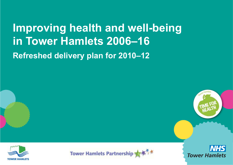# **Improving health and well-being in Tower Hamlets 2006–16 Refreshed delivery plan for 2010–12**





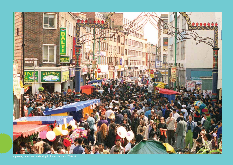

Improving health and well-being in Tower Hamlets 2006–16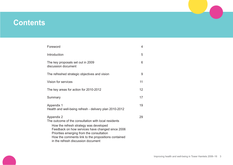## **Contents**

| Foreword                                                                                                                                                                                                                                                                                                   | 4               |
|------------------------------------------------------------------------------------------------------------------------------------------------------------------------------------------------------------------------------------------------------------------------------------------------------------|-----------------|
| Introduction                                                                                                                                                                                                                                                                                               | 5               |
| The key proposals set out in 2009<br>discussion document                                                                                                                                                                                                                                                   | 6               |
| The refreshed strategic objectives and vision                                                                                                                                                                                                                                                              | 9               |
| Vision for services                                                                                                                                                                                                                                                                                        | 11              |
| The key areas for action for 2010-2012                                                                                                                                                                                                                                                                     | 12 <sup>°</sup> |
| Summary                                                                                                                                                                                                                                                                                                    | 17              |
| Appendix 1<br>Health and well-being refresh - delivery plan 2010-2012                                                                                                                                                                                                                                      | 19              |
| Appendix 2<br>The outcome of the consultation with local residents<br>How the refresh strategy was developed<br>Feedback on how services have changed since 2006<br>Priorities emerging from the consultation<br>How the comments link to the propositions contained<br>in the refresh discussion document | 29              |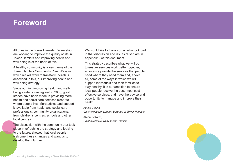# **Foreword**

All of us in the Tower Hamlets Partnership are working to improve the quality of life in Tower Hamlets and improving health and well-being is at the heart of this.

A healthy community is a key theme of the Tower Hamlets Community Plan. Ways in which we will work to transform health is described in this, our improving health and well-being strategy.

Since our first improving health and wellbeing strategy was agreed in 2006, great strides have been made in providing more health and social care services closer to where people live. More advice and support is available from health and social care professionals, community organisations, from children's centres, schools and other local centres.

The discussion with the community that took place in refreshing the strategy and looking to the future, showed that local people welcome these changes and want us to develop them further.

We would like to thank you all who took part in that discussion and issues raised are in appendix 2 of this document.

This strategy describes what we will do to ensure services work better together, ensure we provide the services that people need where they need them and, above all, some of the ways in which we will support individuals and their families to stay healthy. It is our ambition to ensure local people receive the best, most costeffective services, and have the advice and opportunity to manage and improve their health.

#### *Kevan Collins,*

*Chief executive, London Borough of Tower Hamlets*

#### *Alwen Williams,*

*Chief executive, NHS Tower Hamlets*

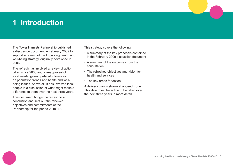# **1 Introduction**

The Tower Hamlets Partnership published a discussion document in February 2009 to support a refresh of the Improving health and well-being strategy, originally developed in 2006.

The refresh has involved a review of action taken since 2006 and a re-appraisal of local needs, given up-dated information on population trends and health and wellbeing issues. Above all, it has involved local people in a discussion of what might make a difference to them over the next three years.

This document brings the refresh to a conclusion and sets out the renewed objectives and commitments of the Partnership for the period 2010–12.

This strategy covers the following:

- A summary of the key proposals contained in the February 2009 discussion document
- A summary of the outcomes from the consultation
- The refreshed objectives and vision for health and services
- The key areas for action

A delivery plan is shown at appendix one. This describes the action to be taken over the next three years in more detail.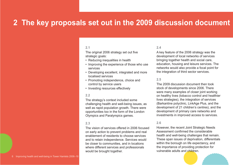# **2 The key proposals set out in the 2009 discussion document**

### **2.1**

The original 2006 strategy set out five strategic goals:

- Reducing inequalities in health
- Improving the experience of those who use services
- Developing excellent, integrated and more localised services
- Promoting independence, choice and control by service users
- Investing resources effectively

#### **2.2**

The strategy's context included some challenging health and well-being issues, as well as rapid population growth. There were opportunities too in the form of the London Olympics and Paralympics games.

#### **2.3**

The vision of services offered in 2006 focused on early action to prevent problems and real enablement of residents to choose services and to retain independence. Services would be closer to communities, and in locations where different services and professionals would be brought together.

#### **2.4**

A key feature of the 2006 strategy was the development of local networks of services bringing together health and social care, education, housing and leisure services. The networks would also provide a focal point for the integration of third sector services.

#### **2.5**

The 2009 discussion document then took stock of developments since 2006. There were many examples of closer joint working on healthy lives (tobacco control and healthier lives strategies), the integration of services (Barkantine polyclinic, LinkAge Plus, and the development of 21 children's centres), and the development of primary care networks and investments in improved access to services.

#### **2.6**

However, the recent Joint Strategic Needs Assessment confirmed the considerable health and well-being challenges that remain. These span issues of deprivation, differentials within the borough on life expectancy, and the importance of providing protection for vulnerable adults and children.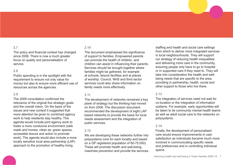#### **2.7**

The policy and financial context has changed since 2006. There is now a much greater focus on quality and personalisation of service.

#### **2.8**

Public spending is in the spotlight with the requirement to ensure not only value for money but also to ensure more efficient use of resources across the agencies.

### **2.9**

The 2009 consultation confirmed the relevance of the original five strategic goals and the overall vision. On the basis of the issues and new context it suggested that more attention be given to combined agency work to help residents stay healthy. This agenda would include joint agency work to foster a more conducive environment (safe roads and homes, clean air, green spaces, accessible leisure and action to promote work). The agenda would also include a more locally sensitive local area partnership (LAP) approach to the promotion of healthy living.

#### **2.10**

The document emphasised the significance of support to families. Empowered parents can promote the health of children, and children can assist in influencing their parents. Services should be brought together where families might be gathered, for example at schools, leisure facilities and at places of worship. Council, NHS and third sector services could also share information on family needs more effectively.

#### **2.11**

The development of networks remained a key plank of strategy but the thinking had moved on from 2006. The discussion document recommended the development of eight LAP based networks to provide the basis for local needs assessment and the integration of public services.

#### **2.12**

We are developing these networks further into polysystems (one for each locality and based on a GP registered population of 60-75,000). These will promote health and well-being, maximise prevention and provide the services,

staffing and health and social care settings from which to deliver more integrated services in local neighbourhoods. They will support our strategy of reducing health inequalities and delivering more care in the community, ensuring people only have to go to hospital or in supported care if they need to. They will take into consideration the health and wellbeing needs that are specific to the area, providing in partnership; health, social and other support to those who live there.

#### **2.13**

The integration of services need not wait for co-location or the integration of information systems. For example, early opportunities will be taken to tie community mental health teams as well as adult social care to the networks on polysystems.

#### **2.14**

Finally, the development of personalised care would ensure improvements in user satisfaction as individuals became much more involved in communicating specific needs and preferences and in controlling individual spend.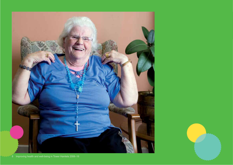

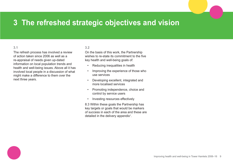# **3 The refreshed strategic objectives and vision**

### **3.1**

The refresh process has involved a review of action taken since 2006 as well as a re-appraisal of needs given up-dated information on local population trends and health and well-being issues. Above all it has involved local people in a discussion of what might make a difference to them over the next three years.

### **3.2**

On the basis of this work, the Partnership wishes to re-state its commitment to the five key health and well-being goals of:

- Reducing inequalities in health
- Improving the experience of those who use services
- Developing excellent, integrated and more localised services
- Promoting independence, choice and control by service users
- Investing resources effectively

8.3 Within these goals the Partnership has key targets or goals that would be markers of success in each of the area and these are detailed in the delivery appendix<sup>1</sup>.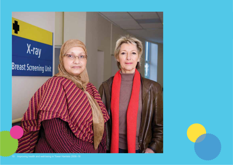

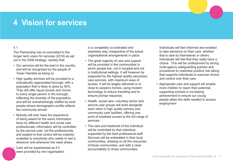# **4 Vision for services**

#### **4.1**

The Partnership has re-committed to the longer term vision for services (2016) as set out in the 2006 strategy; namely that:

- Our services will be the best in the country, and will be recognised by the people of Tower Hamlets as being so
- High quality services will be provided to a dramatically regenerated borough, with a population that is likely to grow by 50%. They will offer equal access and choice to every single person in the borough, reflecting the diversity of the population, and will be overwhelmingly staffed by local people whose demographic profile reflects the community served
- Nobody will ever have the experience of being asked for the same information twice by different health and social care professionals; information will be controlled by the service user, not the professionals, and subject to that control will be instantly available to everybody who needs to see it, wherever and whenever the need arises.

• Care will be experienced as if it were provided by one organisation in a completely co-ordinated and seamless way, irrespective of the actual organisational arrangements in place.

- The great majority of care and support will be provided in the communities in which people live, not in hospital and not in institutional settings. It will however be supported by the highest quality secondary care services, with maximum ease of access. It will be largely delivered in or close to people's homes, using modern technology to reduce travelling and to ensure prompt response.
- Health, social care, voluntary sector and service user groups will work alongside each other in high quality primary and community care facilities, offering one point of localised access to the full range of services.
- The care and treatment of the individual will be controlled by that individual, supported by the best professional staff. Services will be embedded in their local communities, drawing on all the resources of those communities, and with a clear accountability to those communities.

Individuals will feel informed and enabled to take decisions on their care, whether that is care by themselves or others. Individuals will feel that they really have a choice. This will be underpinned by strong multi-agency safeguarding policies and procedures to maximise positive risk taking that supports individuals to exercise choice and control over their care.

• Appropriate care and support will enable more children to reach their potential, supporting schools in increasing achievement to ensure our young people attain the skills needed to access employment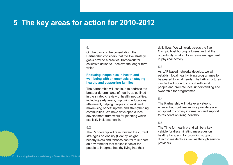# **5 The key areas for action for 2010-2012**

#### **5.1**

On the basis of the consultation, the Partnership considers that the five strategic goals provide a practical framework for collective action to achieve the longer term vision.

#### **Reducing Inequalities in health and well-being with an emphasis on staying healthy and supporting families**

The partnership will continue to address the broader determinants of health, as outlined in the strategic review of health inequalities, including early years, improving educational attainment, helping people into work and maximising benefit uptake and strengthening communities. We have developed a local development framework for planning which explicitly includes health.

#### **5.2**

The Partnership will take forward the current strategies on obesity (Healthy weight, healthy lives) and tobacco control to support an environment that makes it easier for people to integrate healthy living into their

daily lives. We will work across the five Olympic host boroughs to ensure that the opportunity is taken to increase engagement in physical activity.

#### **5.3**

As LAP based networks develop, we will establish local healthy living programmes to be geared to local needs. The LAP structures can be built upon to consult with local people and promote local understanding and ownership for programmes.

#### **5.4**

The Partnership will take every step to ensure that front line service providers are equipped to convey information and support to residents on living healthily.

#### **5.5**

The Time for health brand will be a key vehicle for disseminating messages on healthy living and for providing support direct to residents as well as through service providers.

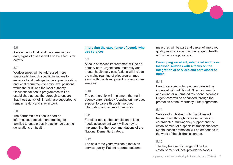#### **5.6**

Assessment of risk and the screening for early signs of disease will also be a focus for activity.

### **5.7**

Worklessness will be addressed more specifically through specific initiatives to enhance local participation in apprenticeships and local recruitment to entry level positions within the NHS and the local authority. Occupational health programmes will be established across the borough to ensure that those at risk of ill health are supported to remain healthy and stay in work.

#### **5.8**

The partnership will focus effort on information, education and training for families to enable positive action across the generations on health.



#### **Improving the experience of people who use services**

#### **5.9**

A focus of service improvement will be on primary care, urgent care, maternity and mental health services. Actions will include the mainstreaming of pilot programmes along with the development of specific new services.

#### **5.10**

The partnership will implement the multiagency carer strategy focusing on improved support to carers through improved information and access to services.

#### **5.11**

For older adults, the completion of local needs assessment work will be key to implementing the recommendations of the National Dementia Strategy.

#### **5.12**

The next three years will see a focus on service quality. Patient reported outcome measures will be part and parcel of improved quality assurance across the range of health and social care providers.

#### **Developing excellent, integrated and more localised services with a focus on the integration of services and care closer to home**

#### **5.13**

Health services within primary care will be improved with additional GP appointments and online or automated telephone bookings. Urgent care will be enhanced through the promotion of the Pharmacy First programme.

#### **5.14**

Services for children with disabilities will be improved through increased access to co-ordinated multi-agency support and the establishment of a specialist transitions team. Mental health promotion will be embedded in the work of the children's centres.

#### **5.15**

#### The key feature of change will be the establishment of local provider networks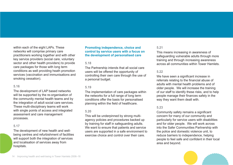within each of the eight LAPs. These networks will comprise primary care practitioners working together and with other key service providers (social care, voluntary sector and other health providers) to provide care packages for those with long term conditions as well providing heath promotion services (vaccination and immunisations and smoking cessation).

#### **5.16**

The development of LAP based networks will be supported by the re-organisation of the community mental health teams and by the integration of adult social care services. These multi-disciplinary teams will work with single points of access and integrated assessment and care management processes.

#### **5.17**

The development of new health and wellbeing centres and refurbishment of facilities will support both the integration of services and localisation of services away from hospitals.

#### **Promoting independence, choice and control by service users with a focus on the development of personalised care**

#### **5.18**

The Partnership intends that all social care users will be offered the opportunity of controlling their own care through the use of a personal budget.

#### **5.19**

The implementation of care packages within the networks for a full range of long term conditions offer the basis for personalised planning within the field of healthcare.

#### **5.20**

This will be underpinned by strong multiagency policies and procedures backed up by training for staff in safeguarding adults. We want to ensure that patients and service users are supported in a safe environment to exercise choice and control over their care.

#### **5.21**

This means increasing in awareness of safeguarding vulnerable adults through more training and through increasing awareness across all communities within Tower Hamlets.

#### **5.22**

We have seen a significant increase in referrals relating to the financial abuse of adults with mental health problems and of older people. We will increase the training of our staff to identify these risks, and to help people manage their finances safely in the way they want them dealt with.

#### **5.23**

Community safety remains a significant concern for many of our community and particularly for service users with disabilities and for older people. We will work across into the Safer Communities Partnership with the police and domestic violence unit, to reduce barriers to independence, helping people to feel safe and confident in their local area and beyond.

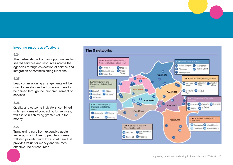#### **Investing resources effectively**

#### **5.24**

The partnership will exploit opportunities for shared services and resources across the agencies through co-location of service and integration of commissioning functions.

#### **5.25**

Lead commissioning arrangements will be used to develop and act on economies to be gained through the joint procurement of services.

#### **5.26**

Quality and outcome indicators, combined with new forms of contracting for services. will assist in achieving greater value for money.

#### **5.27**

Transferring care from expensive acute settings, much closer to people's homes will also provide much lower cost care that provides value for money and the most effective use of resources.

#### The 8 networks

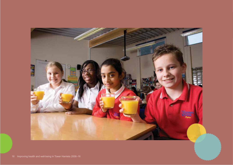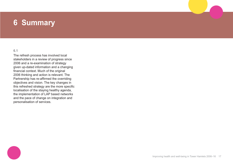# **hf 6 Summary**

### **6.1**

The refresh process has involved local stakeholders in a review of progress since 2006 and a re-examination of strategy given up-dated information and a changing financial context. Much of the original 2006 thinking and action is relevant. The Partnership has re-affirmed the overriding objectives and vision. The key changes in this refreshed strategy are the more specific localisation of the staying healthy agenda, the implementation of LAP based networks and the pace of change on integration and personalisation of services.

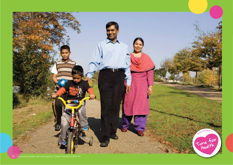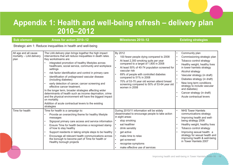## **Appendix 1: Health and well-being refresh – delivery plan 2010–2012**

| <b>Sub element</b>                                        | Areas for action 2010-12                                                                                                                                                                                                                                                                                                                                                                                                                                                                                                                                                                                                                                                                                                                                             | Milestones 2010-12                                                                                                                                                                                                                                                                                                                                                                                                 | <b>Existing strategies</b>                                                                                                                                                                                                                                                                                                                                          |
|-----------------------------------------------------------|----------------------------------------------------------------------------------------------------------------------------------------------------------------------------------------------------------------------------------------------------------------------------------------------------------------------------------------------------------------------------------------------------------------------------------------------------------------------------------------------------------------------------------------------------------------------------------------------------------------------------------------------------------------------------------------------------------------------------------------------------------------------|--------------------------------------------------------------------------------------------------------------------------------------------------------------------------------------------------------------------------------------------------------------------------------------------------------------------------------------------------------------------------------------------------------------------|---------------------------------------------------------------------------------------------------------------------------------------------------------------------------------------------------------------------------------------------------------------------------------------------------------------------------------------------------------------------|
|                                                           | Strategic aim 1: Reduce inequalities in health and well-being                                                                                                                                                                                                                                                                                                                                                                                                                                                                                                                                                                                                                                                                                                        |                                                                                                                                                                                                                                                                                                                                                                                                                    |                                                                                                                                                                                                                                                                                                                                                                     |
| All age and all cause<br>mortality - LAA delivery<br>plan | The LAA delivery plan brings together the high impact<br>interventions that will reduce inequalities in death rates.<br>Key workstreams are:<br>integrated promotion of healthy lifestyles across<br>healthcare, social service, community and workplace<br>settings<br>risk factor identification and control in primary care<br>identification of undiagnosed vascular disease<br>(including diabetes)<br>early detection of cancer, cancer screening and<br>effective cancer treatment.<br>In the longer term, broader strategies affecting wider<br>determinants of health such as income deprivation, crime<br>and the physical environment will have the biggest impact<br>on mortality.<br>Addition of acute contractual levers to the existing<br>strategies | By 2012<br>100 fewer people dying compared to 2008<br>$\bullet$<br>At least 2,300 smoking quits per year<br>$\bullet$<br>compared to a target of 1,800 in 2008<br>At least 50% of 40-74 population screened for<br>vascular risk<br>69% of people with controlled diabetes<br>compared to 51% in 2008<br>70% of 53-70 year old women attend breast<br>screening compared to 50% of 53-64 year old<br>women in 2008 | Community plan<br>Commissioning strategic plan<br>Tobacco control strategy<br>Healthy weight, healthy lives<br>in tower hamlets strategy<br>Alcohol strategy<br>Vascular strategy (in draft)<br>Diabetes strategy (in draft)<br>New long term conditions<br>strategy to include vascular<br>and diabetes)<br>Cancer strategy (in draft)<br>Acute contractual levers |
| Time for health                                           | Time for health is a campaign to:<br>Provide an overarching theme for healthy lifestyle<br>messages<br>Signpost primary care access and service information<br>Ensure Time for health becomes a recognised stamp<br>of how to stay healthy<br>Support residents in taking simple steps to be healthy<br>Encourage all relevant health communications across<br>the borough to become part of Time for health or<br>Healthy borough projects                                                                                                                                                                                                                                                                                                                          | During 2010/11 information will be widely<br>disseminated to encourage people to take action<br>in eight areas:<br>stop smoking<br>eat healthier<br>drink sensibly<br>get active<br>make time to relax<br>get screened<br>recognise symptoms<br>make effective use of services                                                                                                                                     | <b>NHS Tower Hamlets</b><br>communications strategy<br>Improving health and well-<br>being strategy 2006<br>Healthy weight, healthy lives<br>Tobacco control strategy<br>Improving sexual health: a<br>strategy for sexual health and<br>improving health & well-being<br>in Tower Hamlets 2007                                                                     |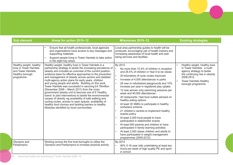| <b>Sub element</b>                                                                                     | Areas for action 2010-12                                                                                                                                                                                                                                                                                                                                                                                                                                                                                                                                                                                                                                                                                                                                                                                                                                                                                                                                                                                                                                                                           | Milestones 2010-12                                                                                                                                                                                                                                                                                                                                                                                                                                                                                                                                                                                                                                                                                                                                                    | <b>Existing strategies</b>                                                                                                                                                                   |
|--------------------------------------------------------------------------------------------------------|----------------------------------------------------------------------------------------------------------------------------------------------------------------------------------------------------------------------------------------------------------------------------------------------------------------------------------------------------------------------------------------------------------------------------------------------------------------------------------------------------------------------------------------------------------------------------------------------------------------------------------------------------------------------------------------------------------------------------------------------------------------------------------------------------------------------------------------------------------------------------------------------------------------------------------------------------------------------------------------------------------------------------------------------------------------------------------------------------|-----------------------------------------------------------------------------------------------------------------------------------------------------------------------------------------------------------------------------------------------------------------------------------------------------------------------------------------------------------------------------------------------------------------------------------------------------------------------------------------------------------------------------------------------------------------------------------------------------------------------------------------------------------------------------------------------------------------------------------------------------------------------|----------------------------------------------------------------------------------------------------------------------------------------------------------------------------------------------|
| Healthy weight, healthy<br>lives in Tower Hamlets<br>and Tower Hamlets<br>Healthy borough<br>programme | Ensure that all health professionals, local agencies<br>and organisations have access to key messages and<br>supporting materials<br>Support people living in Tower Hamlets to take action<br>in the eight key areas<br>Healthy weight, healthy lives in Tower Hamlets is a<br>partnership strategy to tackle the increasing prevalence of<br>obesity and includes an overview of the current position,<br>evidence base for effective approaches to the prevention<br>and management of obesity across sectors and detailed<br>multi-agency action plans for early years, children<br>and young people and adults. Building on this work,<br>Tower Hamlets was successful in securing £4.78million<br>(December 2008 - March 2011) from the cross<br>government obesity unit to become one of 9 'Healthy<br>towns' to pilot interventions to tackle the environmental<br>causes of obesity, eg availability of safe walking and<br>cycling routes, access to open spaces, availability of<br>healthy food choices and tackling barriers to healthy<br>lifestyles identified by local communities. | Local area partnership guides to health will be<br>produced, encouraging use of health trainers and<br>increasing awareness of local health and well-<br>being services and facilities<br>By 2012<br>No more than 15.4% of children in reception<br>and 26.4% of children in Year 6 to be obese<br>20 kilometres of cycle routes improved<br>Increase of 4,000 attendances in parks<br>28 new or refurbished playgrounds and 10%<br>increase per year in registered play uptake<br>12 new women only swimming sessions per<br>week and 40,000 attendances<br>30 restaurants / fast food outlets advised on<br>healthy eating options<br>At least 30 SMEs to participate in healthy<br>workplace scheme<br>21 children's centres to implement healthy<br>snacks policy | Healthy weight, healthy lives<br>in Tower Hamlets: a multi-<br>agency strategy to tackle<br>the continuing rise in obesity<br>2008-2012<br><b>Tower Hamlets Healthy</b><br>borough programme |
|                                                                                                        |                                                                                                                                                                                                                                                                                                                                                                                                                                                                                                                                                                                                                                                                                                                                                                                                                                                                                                                                                                                                                                                                                                    | At least 2,000 local people to have<br>participated in stakeholder events<br>At least 600 parents and children to have<br>participated in family learning activities<br>At least 2,000 obese children and adults to<br>have participated in weight management<br>programmes (2009-2012)                                                                                                                                                                                                                                                                                                                                                                                                                                                                               |                                                                                                                                                                                              |
| Olympics and<br>Paralympics                                                                            | Working across the five host boroughs to utilise the<br>Olympics and Paralympics to increase physical activity                                                                                                                                                                                                                                                                                                                                                                                                                                                                                                                                                                                                                                                                                                                                                                                                                                                                                                                                                                                     | By 2012<br>90% 5-16 year olds undertaking at least two<br>hours per week of high quality PE and sport<br>in school                                                                                                                                                                                                                                                                                                                                                                                                                                                                                                                                                                                                                                                    |                                                                                                                                                                                              |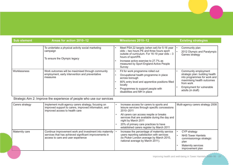| <b>Sub element</b> | Areas for action 2010-12                                                                                         | Milestones 2010-12                                                                                                                                                                                                                                   | <b>Existing strategies</b>                                                                                                                                                           |
|--------------------|------------------------------------------------------------------------------------------------------------------|------------------------------------------------------------------------------------------------------------------------------------------------------------------------------------------------------------------------------------------------------|--------------------------------------------------------------------------------------------------------------------------------------------------------------------------------------|
|                    | To undertake a physical activity social marketing<br>campaign<br>To ensure the Olympic legacy                    | Meet PSA 22 targets (when set) for 5-16 year<br>olds - two hours PE and three hours sport<br>outside of curriculum. For 16-19 year olds $-3$<br>hours of sport/PA<br>Increase active exercise to 27.7% as<br>measured by Sport England Active People | Community plan<br>2012 Olympic and Paralympic<br>Games strategy                                                                                                                      |
| Worklessness       | Work outcomes will be maximised through community<br>employment, early intervention and preventative<br>measures | Survey<br>Fit for work programme rolled out<br>Occupational health programme in place<br>across borough<br>80% entry level and apprentice positions filled<br>locally<br>Programmes to support people with<br>disabilities and MH in place           | Community employment<br>strategic plan: building health<br>into programmes for work and<br>maximising health outcomes<br>from work<br>Employment for vulnerable<br>adults (in draft) |

Strategic Aim 2: Improve the experience of people who use our services

| Carers strategy | Implement multi-agency carers strategy, focusing on<br>improved support to carers, improved information, and<br>improved access to health care          | Increase access for carers to sports and<br>leisure services through specific concessions<br>2010-2011                                                                     | Multi-agency carers strategy 2008                                            |
|-----------------|---------------------------------------------------------------------------------------------------------------------------------------------------------|----------------------------------------------------------------------------------------------------------------------------------------------------------------------------|------------------------------------------------------------------------------|
|                 |                                                                                                                                                         | All carers can access respite or breaks<br>services that are available during the day and<br>night by March 2011<br>20% of primary care practices to have                  |                                                                              |
|                 |                                                                                                                                                         | established carers register by March 2011                                                                                                                                  |                                                                              |
| Maternity care  | Continue improvement work and investment into maternity<br>services that has achieved significant improvements in<br>access to care and user experience | Increase the percentage of maternity service<br>users reporting satisfaction with services<br>(to Picker London average by March 2010,<br>national average by March 2011). | CYP strategy<br><b>NHS Tower Hamlets</b><br>commissionings strategic<br>plan |
|                 |                                                                                                                                                         |                                                                                                                                                                            | Maternity services<br>improvement plan                                       |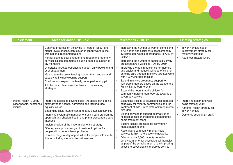| <b>Sub element</b>                                         | Areas for action 2010-12                                                                                                                                                                                                                                                                                                                                                                                                                                                                                                                                                                            | Milestones 2010-12                                                                                                                                                                                                                                                                                                                                                                                                                                                                                                                                                                                                                                          | <b>Existing strategies</b>                                                                                                                |
|------------------------------------------------------------|-----------------------------------------------------------------------------------------------------------------------------------------------------------------------------------------------------------------------------------------------------------------------------------------------------------------------------------------------------------------------------------------------------------------------------------------------------------------------------------------------------------------------------------------------------------------------------------------------------|-------------------------------------------------------------------------------------------------------------------------------------------------------------------------------------------------------------------------------------------------------------------------------------------------------------------------------------------------------------------------------------------------------------------------------------------------------------------------------------------------------------------------------------------------------------------------------------------------------------------------------------------------------------|-------------------------------------------------------------------------------------------------------------------------------------------|
|                                                            |                                                                                                                                                                                                                                                                                                                                                                                                                                                                                                                                                                                                     |                                                                                                                                                                                                                                                                                                                                                                                                                                                                                                                                                                                                                                                             |                                                                                                                                           |
|                                                            | Continue progress on achieving 1:1 care in labour and<br>higher levels of consultant cover on labour ward in line<br>with national recommendations<br>Further develop user engagement through the maternity<br>services liaison committee including bespoke support to<br>lay members<br>Undertake targeted outreach to support early booking and<br>user engagement<br>Mainstream the breastfeeding support team and expand<br>capacity to include weaning support<br>Continue and expand the family nurse partnership pilot<br>Addition of acute contractual levers to the existing<br>strategies | Increasing the number of women completing<br>a full health and social care assessment by<br>12 completed weeks of pregnancy to 72% by<br>2011/12<br>Increasing the number of babies exclusively<br>breastfed at 6-8 weeks to 70% by 2010<br>Improving the health outcomes for mothers<br>and babies and reduce likelihood of children<br>entering care through intensive targeted work<br>with 100 vulnerable families<br>Extend intensive pregnancy support for<br>vulnerable mothers based on the work of the<br><b>Family Nurse Partnership</b><br>Expand the hours that the children's<br>community nursing team operate towards a<br>seven-day service | <b>Tower Hamlets health</b><br>improvement strategy for<br>maternity services<br>Acute contractual levers                                 |
| Mental health (CMHT,<br>Older people, substance<br>misuse) | Improving access to psychological therapies, developing<br>alternatives to hospital admission and tackling race<br>equality issues<br>Expanding crisis intervention and early detection services<br>Improving systematic management using care programme<br>approach and physical health and primary/secondary care<br>interface<br>Implementation of the national dementia strategy<br>Offering an improved range of treatment options for<br>people with alcohol misuse problems<br>Increase range of day opportunities for people with mental<br>illness including use of universal services     | Expanding access to psychological therapies<br>especially for minority communities and for<br>treatment of mild - moderate common mental<br>disorders<br>Extend services to support alternatives to<br>hospital admission including expanding the<br>home treatment team<br>Secure locality premises for community<br>mental health teams<br>Reconfigure community mental health<br>services to link more closely to networks<br>Offer an extra 5,000 patients cognitive<br>behavioural or other psychological therapies<br>as part of the establishment of the improving<br>access to psychological therapies service                                      | Improving health and well-<br>being strategy 2006<br>A mental health strategy for<br><b>Tower Hamlets</b><br>Dementia strategy (in draft) |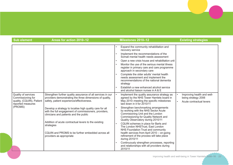| <b>Sub element</b>                                                                                    | Areas for action 2010-12                                                                                                                                                                                                                                                                                                                                                                                                                                                                   | Milestones 2010-12                                                                                                                                                                                                                                                                                                                                                                                                                                                                                                                                                                                                                                                                                             | <b>Existing strategies</b>                                                    |
|-------------------------------------------------------------------------------------------------------|--------------------------------------------------------------------------------------------------------------------------------------------------------------------------------------------------------------------------------------------------------------------------------------------------------------------------------------------------------------------------------------------------------------------------------------------------------------------------------------------|----------------------------------------------------------------------------------------------------------------------------------------------------------------------------------------------------------------------------------------------------------------------------------------------------------------------------------------------------------------------------------------------------------------------------------------------------------------------------------------------------------------------------------------------------------------------------------------------------------------------------------------------------------------------------------------------------------------|-------------------------------------------------------------------------------|
|                                                                                                       |                                                                                                                                                                                                                                                                                                                                                                                                                                                                                            | Expand the community rehabilitation and<br>recovery service<br>Implement the recommendations of the<br>Somali mental health needs assessment<br>Open a new crisis house and rehabilitation unit<br>Monitor the use of the serious mental illness<br>register in primary care and care programme<br>approach in secondary care<br>Complete the older adults' mental health<br>needs assessment and implement the<br>recommendations of the national dementia<br>strategy<br>Establish a new enhanced alcohol service<br>and alcohol liaison nurses in A & E                                                                                                                                                     |                                                                               |
| Quality of services<br>Commissioning for<br>quality, (CQUIN), Patient<br>reported measures<br>(PROMS) | Strengthen further quality assurance of all services in our<br>providers demonstrating the three dimensions of quality,<br>safety, patient experience/effectiveness.<br>Develop a strategy to localise high quality care for all<br>with the full engagement of commissioners, providers,<br>clinicians and patients and the public<br>Addition of acute contractual levers to the existing<br>strategies<br>CQUIN and PROMS to be further embedded across all<br>providers as appropriate | Implement the quality assurance strategy as<br>agreed by the NHS Tower Hamlets board in<br>May 2010-meeting the specific milestones<br>laid down in it for 2010/11<br>Strengthen benchmarking arrangements<br>by working with the NHS Sector Acute<br>Commisioning Unit and the London<br>Commissioning for Quality Network and<br>Quality Observatory during 2010/11<br>CQUIN schemes in place for Barts and<br>The London NHSTrust, East London<br>NHS Foundation Trust and community<br>health services from April 2010 - on-going<br>refinement of the process will take place<br>during 2010/11<br>Continuously strengthen processes, reporting<br>and relationships with all providers during<br>2010/11 | Improving health and well-<br>being strategy 2006<br>Acute contractual levers |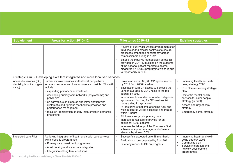| <b>Sub element</b>                | Areas for action 2010-12                                                                                                                                                                                                                                                                                                                                                                                                                                                                | Milestones 2010-12                                                                                                                                                                                                                                                                                                                                                                                                                                                                                                                                                                                                                                            | <b>Existing strategies</b>                                                                                                                                                                                                                |
|-----------------------------------|-----------------------------------------------------------------------------------------------------------------------------------------------------------------------------------------------------------------------------------------------------------------------------------------------------------------------------------------------------------------------------------------------------------------------------------------------------------------------------------------|---------------------------------------------------------------------------------------------------------------------------------------------------------------------------------------------------------------------------------------------------------------------------------------------------------------------------------------------------------------------------------------------------------------------------------------------------------------------------------------------------------------------------------------------------------------------------------------------------------------------------------------------------------------|-------------------------------------------------------------------------------------------------------------------------------------------------------------------------------------------------------------------------------------------|
|                                   | Strategic Aim 3: Developing excellent integrated and more localised services                                                                                                                                                                                                                                                                                                                                                                                                            | Review of quality assurance arrangements for<br>third sector and smaller contracts to ensure<br>processes embedded consistently across<br>commissioners during 2010/11<br>Embed the PROMS methodology across all<br>providers in 2011/12 building on the outcome<br>of the national patient reported outcome<br>measures (PROMS) programme which is due<br>to report early in 2010                                                                                                                                                                                                                                                                            |                                                                                                                                                                                                                                           |
| Access to services (GP,<br>care,) | Further improve services so that local people have<br>dentistry, hospital, urgent   access to services as close to home as possible. This will<br>include:<br>• expanding primary care workforce<br>• developing primary care networks (polysystems) and<br>polyclinics<br>an early focus on diabetes and immunisation with<br>systematic and rigorous feedback to practices and<br>performance management<br>• focus on identification of early intervention in dementia<br>presenting | Provide an extra 300,000 GP appointments<br>by 2012 from 2006 baseline<br>Satisfaction with GP access will exceed the<br>London average by 2010 rising to the top<br>quartile by 2012<br>Introduce online and/or automated telephone<br>appointment booking for GP services 24<br>hours a day, 7 days a week<br>At least 98% of patients attending A&E and<br>walk in centres will be assessed and treated<br>within 4 hours<br>Pilot minor surgery in primary care<br>Increase dental care to provide for an<br>additional 8,000 patients<br>Increase the take-up of the Pharmacy First<br>scheme to support management of minor<br>ailments by at least 30% | Improving Health and well-<br>being strategy 2006<br>PCT Commissioning strategic<br>plan<br>Dementia mental health<br>services for older people<br>strategy (in draft)<br>Access and urgent care<br>strategy<br>Emergency dental strategy |
| Integrated care Pilot             | Achieving integration of health and social care services<br>within specific programmes:<br>• Primary care investment programme<br>• Adult nursing and social care integration<br>• Integration of long term conditions                                                                                                                                                                                                                                                                  | Successfully accepted onto 18 month pilot<br>Evaluation to be completed by April 2011<br>Quarterly reports to DH on progress                                                                                                                                                                                                                                                                                                                                                                                                                                                                                                                                  | Improving health and well-<br>being strategy 2006<br>Community plan<br>Service integration and<br>network development<br>programmes                                                                                                       |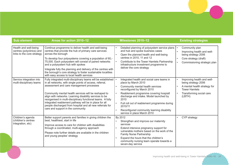| <b>Sub element</b>                                                               | Areas for action 2010-12                                                                                                                                                                                                                                                                                                                                                                                                                                                                                            | Milestones 2010-12                                                                                                                                                                                                                                                                                                                                                       | <b>Existing strategies</b>                                                                                                                      |
|----------------------------------------------------------------------------------|---------------------------------------------------------------------------------------------------------------------------------------------------------------------------------------------------------------------------------------------------------------------------------------------------------------------------------------------------------------------------------------------------------------------------------------------------------------------------------------------------------------------|--------------------------------------------------------------------------------------------------------------------------------------------------------------------------------------------------------------------------------------------------------------------------------------------------------------------------------------------------------------------------|-------------------------------------------------------------------------------------------------------------------------------------------------|
| Health and well-being<br>centres (polyclinics) and<br>links to the core strategy | Continue programme to deliver health and well-being<br>centres that provide the hub of primary care services<br>across the borough<br>To develop four polysystems covering a population of 60,-<br>75,000. Each polysystem will consist of paired networks<br>and a polysystem hub with spokes<br>Integrate fully the planning and delivery of the centres with<br>the borough's core strategy to foster sustainable localities<br>with easy access to local health services                                        | Detailed planning of polysystem service plans<br>and hub and spoke business cases<br>Open the planned health and well-being<br>centres in 2010, 11 and 12<br>Contribute to the Tower Hamlets Partnership<br>infrastructure investment programme to<br>deliver the core strategy                                                                                          | Community plan<br>Improving health and well-<br>being strategy 2006<br>Core strategy (draft)<br>Commissioning strategic plan                    |
| Service integration into<br>multi-disciplinary teams                             | Fully integrated multi-disciplinary teams will be established<br>in all networks, with single points of access, referral,<br>assessment and care management processes<br>Community mental health services will be reshaped to<br>align with networks. Learning disability services to be<br>reorganised in multi-disciplinary functional teams. A fully<br>integrated reablement pathway will be in place for all<br>people discharged from hospital and all new referrals for<br>care and support in the community | Integrated health and social care teams in<br>place by March 2010<br>Community mental health services<br>reconfigured by March 2010<br>Reablement programme covering hospiatl<br>discharge and intake. Model launched by<br>2010<br>Full roll out of reablement programme during<br>2010/11<br>Reconfigured community learning disability<br>service in place March 2010 | Improving health and well-<br>being strategy 2006<br>A mental health strategy for<br><b>Tower Hamlets</b><br>Transforming social care<br>(LBTH) |
| Children's agenda<br>(children's centres<br>integration, etc)                    | Better support parents and families in giving children the<br>best, healthiest, start in life<br>Improve access to care for children with disabilities<br>through a coordinated, multi-agency approach<br>Please note further details are available in the children<br>and young peoples' strategy                                                                                                                                                                                                                  | By 2012<br>Strengthen and improve our maternity<br>services<br>Extend intensive pregnancy support for<br>vulnerable mothers based on the work of the<br>Family Nurse Partnership<br>Expand the hours that the children's<br>community nursing team operate towards a<br>seven-day service                                                                                | CYP strategy                                                                                                                                    |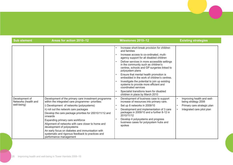| <b>Sub element</b>                                    | Areas for action 2010-12                                                                                                                                                                                                                                                                                                                                                                                                                                                                                                         | Milestones 2010-12                                                                                                                                                                                                                                                                                                                                                                                                                                                                                                                                                                                     | <b>Existing strategies</b>                                                                                     |
|-------------------------------------------------------|----------------------------------------------------------------------------------------------------------------------------------------------------------------------------------------------------------------------------------------------------------------------------------------------------------------------------------------------------------------------------------------------------------------------------------------------------------------------------------------------------------------------------------|--------------------------------------------------------------------------------------------------------------------------------------------------------------------------------------------------------------------------------------------------------------------------------------------------------------------------------------------------------------------------------------------------------------------------------------------------------------------------------------------------------------------------------------------------------------------------------------------------------|----------------------------------------------------------------------------------------------------------------|
|                                                       |                                                                                                                                                                                                                                                                                                                                                                                                                                                                                                                                  | Increase short-break provision for children<br>and families<br>Increase access to co-ordinated, multi-<br>agency support for all disabled children<br>Deliver services in more accessible settings<br>in the community such as children's<br>centres, schools and GP surgeries linked to<br>polysystem plans<br>Ensure that mental health promotion is<br>embedded in the work of children's centres.<br>Investigate the potential to join up existing<br>systems to provide more efficient and<br>coordinated services<br>Specialist transitions team for disabled<br>children in place by March 2010 |                                                                                                                |
| Development of<br>Networks (health and<br>well-being) | Development of the primary care investment programme<br>within the integrated care programme- priorities:<br>i) Development of networks (polysystems)<br>ii) roll out the network care packages<br>Develop the care package priorities for 20010/11/12 and<br>onwards<br>Expanding primary care workforce<br>Alignment of networks with care closer to home and<br>development of polysystems<br>An early focus on diabetes and immunisation with<br>systematic and rigorous feedback to practices and<br>performance management | Development of business case to support<br>increase of resources into primary care.<br>Set up 8 networks in 2009/10<br>Development and implementation of 3 care<br>packages in 2009/10 and a further 8-12 in<br>2010/11/12<br>Develop 4 polysystems and progress<br>business cases for polysystem hubs and<br>spokes                                                                                                                                                                                                                                                                                   | Improving health and well-<br>being strategy 2006<br>Primary care strategic plan<br>Integrated care pilot plan |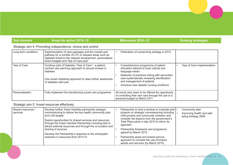| <b>Sub element</b>   | Areas for action 2010-12                                                                                                                                                                                          | Milestones 2010-12                                                                                                                                                                                                                                                         | <b>Existing strategies</b>  |
|----------------------|-------------------------------------------------------------------------------------------------------------------------------------------------------------------------------------------------------------------|----------------------------------------------------------------------------------------------------------------------------------------------------------------------------------------------------------------------------------------------------------------------------|-----------------------------|
|                      | Strategic aim 4: Promoting independence, choice and control                                                                                                                                                       |                                                                                                                                                                                                                                                                            |                             |
| Long term conditions | Implementation of care packages and the overall care<br>pathway for a number of LTC or disease areas such as<br>diabetes linked to the network development, personalised<br>direct budgets and Year of Care pilot | Publication of overarching strategy in 2010                                                                                                                                                                                                                                |                             |
| Year of Care         | Continue pilot of Diabetes "Year of Care" - a patient<br>centred care planning approach to annual reviews in<br>diabetes<br>Use social marketing approach to raise further awareness<br>of diabetes self-care     | Comprehensive programme of patient<br>education tailored to local cultural and<br>language needs<br>Networks of practices linking with secondary<br>care systematically reviewing identification<br>and management of patients<br>Introduce new diabetic nursing workforce | Year of Care implementation |
| Personalisation      | Fully implement the transforming social care programme                                                                                                                                                            | All social care users to be offered the opportunity<br>of controlling their own care through the use of a<br>personal budget by March 2011                                                                                                                                 |                             |

### Strategic aim 5: Invest resources effectively

| Shared resources /<br>services      | Develop further Tower Hamlets partnership strategic<br>commissioning to deliver the key health community plan<br>and LAA targets<br>Exploit opportunities for shared services and resources<br>through the Tower Hamlets Partnership including bids to<br>attract external resources and through the co-location and | Partnership to hold a seminar to evaluate pilot  <br>projects on strategic commissioning including  <br>child poverty and community cohesion and<br>consider the lessons from the government's<br>Total Place pilots in late 2010 to inform its<br>approach | Community plan<br>Improving health and well-<br>being strategy 2006 |
|-------------------------------------|----------------------------------------------------------------------------------------------------------------------------------------------------------------------------------------------------------------------------------------------------------------------------------------------------------------------|-------------------------------------------------------------------------------------------------------------------------------------------------------------------------------------------------------------------------------------------------------------|---------------------------------------------------------------------|
|                                     | sharing of services<br>Develop the Partnership's response to the anticipated                                                                                                                                                                                                                                         | Partnership framework and programme<br>agreed by March 2010                                                                                                                                                                                                 |                                                                     |
| reduction in resources from 2011/12 | Partnership asset and shared service<br>approach to increase the use of shared<br>assets and services (by March 2010)                                                                                                                                                                                                |                                                                                                                                                                                                                                                             |                                                                     |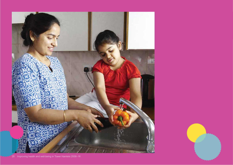

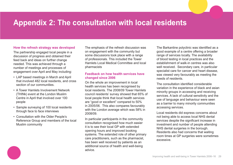# **Appendix 2: The consultation with local residents**

#### **How the refresh strategy was developed**

The partnership engaged local people in a discussion of progress and obtained their feed back and ideas on further change needed. This was achieved through a number of meetings and processes of engagement over April and May including:

- LAP based meetings in March and April that involved 482 local residents, and cross section of our communities.
- A Tower Hamlets Involvement Network (THINk) event at the London Muslim Centre in April that involved over 100 people
- Sample surveying of 100 local residents through face to face interviews
- Consultation with the Older People's Reference Group and members of the local Muslim community

The emphasis of the refresh discussion was on engagement with the community but some discussions took place with a range of professionals. This included the Tower Hamlets Local Medical Committee and local pharmacists

### **Feedback on how health services have changed since 2006**

On the whole an improvement in local health services has been recognised by local residents. The 2008/09 Tower Hamlets council residents' survey showed that 65% of local people think that local health services are "good or excellent" compared to 50% in 2005/06. This also compares favourably with the London average which was 58% in 2008/09

In particular participants in the community consultation recognised how much easier it is to see their local GP with extended opening hours and improved booking systems. The extended role of other primary care practitioners, such as the pharmacist, has been well received by patients as an additional source of health and well-being advice.

The Barkantine polyclinic was identified as a good example of a centre offering a broader range of services locally. The availability of blood testing in local practices and the establishment of walk-in centres was also well received. Secondary care, in particular specialist care for cancer and heart disease, was viewed very favourably as meeting the needs of residents.

The consultation identified considerable variation in the experience of black and asian minority groups in accessing and receiving services. A lack of cultural sensitivity and the use of language and behaviour were seen as a barrier to many minority communities accessing services.

Local residents did express concerns about not being able to access local NHS dental services despite the significant increase in investment and number of people attending NHS dental surgeries in the borough. Residents also had concerns that waiting room times at GP surgeries were sometimes excessive.

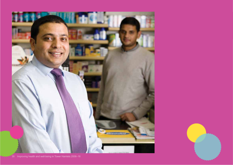

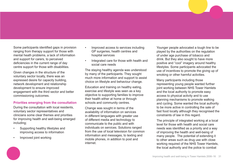Some participants identified gaps in provision ranging from therapy support for those with mental heath problems, a lack of information and support for carers, to perceived deficiencies in the current range of day centre support for those with disabilities.

Given changes in the structure of the voluntary sector locally, there was an expressed desire for capacity building, network development and relationship development to ensure improved engagement with the third sector and better commissioning outcomes.

### **Priorities emerging from the consultation**

During the consultation with local residents, voluntary sector representatives and clinicians some clear themes and priorities for improving health and well-being emerged including;

- Supporting healthy lifestyles and improving access to information
- Improved joint working
- Improved access to services including GP surgeries, health centres and hospital services
- Integrated care for those with health and social care needs

The staying healthy agenda was understood by many of the participants. They sought much more information and support to assist choice on lifestyle and behaviour change.

Education and training on healthy eating, exercise and lifestyle was seen as a key objective to supporting families to improve their health either at home or through schools and community centres.

Change was sought in terms of the availability of information on services in different languages with greater use of different media and technology to communicate to the public and with individuals on services. Solutions ranged from the use of local television for common information and messages, to texting and mobile phones, in addition to post and internet.

Younger people advocated a tough line to be played by the authorities on the regulation of under age purchase of tobacco and drink. But they also sought to have more positive and "cool" imagery around healthy lifestyles. Some participants advocated the use of incentives to promote the giving up of smoking or other harmful activities.

Many participants including those representing young people wanted further joint working between NHS Tower Hamlets and the local authority to promote easy access to physical activity and to use planning mechanisms to promote walking and cycling. Some wanted the local authority to be more active in controlling the sale of fast food locally although they recognised the constraints of law in this regard.

The principle of integrated working at a local level for those with health and social care needs was identified as a priority and a way of improving the health and well-being of many people. The potential of extending it to other areas such as drug use with close working required of the NHS Tower Hamlets, the local authority and the police to combat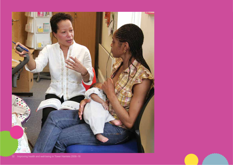

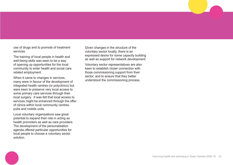use of drugs and to promote of treatment services.

The training of local people in health and well-being skills was seen to be a way of opening up opportunities for the local community to enter health and social care related employment.

When it came to changes in services, many were in favour of the development of integrated health centres (or polyclinics) but were keen to preserve very local access to some primary care services through their local surgery. It was felt that local access to services might be enhanced through the offer of clinics within local community centres, pubs and mobile units.

Local voluntary organisations saw great potential to expand their role in acting as health promoters as well as care providers. The development of the personalisation agenda offered particular opportunities for local people to choose a voluntary sector solution.

Given changes in the structure of the voluntary sector locally, there is an expressed desire for some capacity building as well as support for network development.

Voluntary sector representatives are also keen to establish closer connection with those commissioning support from their sector, and to ensure that they better understood the commissioning process.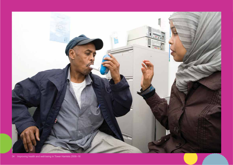